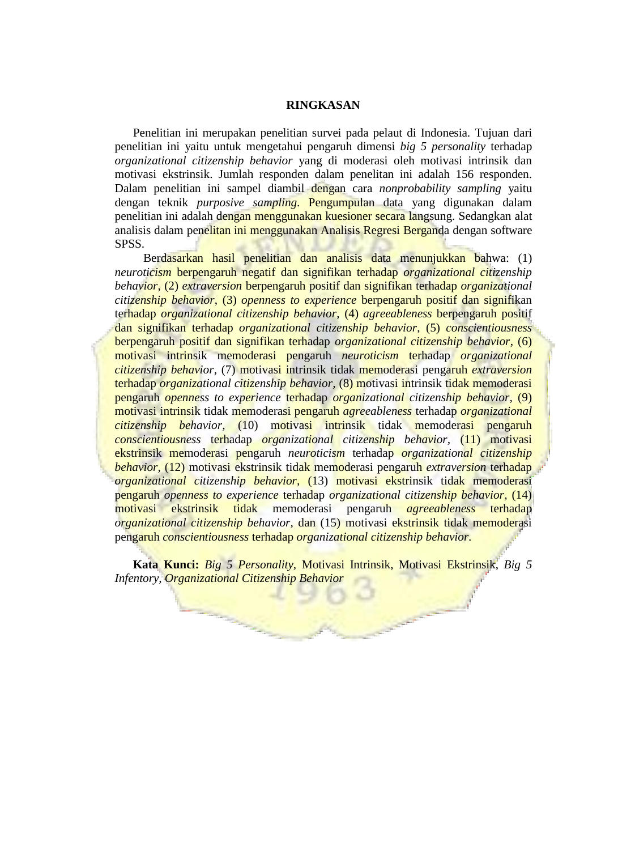## **RINGKASAN**

Penelitian ini merupakan penelitian survei pada pelaut di Indonesia. Tujuan dari penelitian ini yaitu untuk mengetahui pengaruh dimensi *big 5 personality* terhadap *organizational citizenship behavior* yang di moderasi oleh motivasi intrinsik dan motivasi ekstrinsik. Jumlah responden dalam penelitan ini adalah 156 responden. Dalam penelitian ini sampel diambil dengan cara *nonprobability sampling* yaitu dengan teknik *purposive sampling*. Pengumpulan data yang digunakan dalam penelitian ini adalah dengan menggunakan kuesioner secara langsung. Sedangkan alat analisis dalam penelitan ini menggunakan Analisis Regresi Berganda dengan software SPSS.

Berdasarkan hasil penelitian dan analisis data menunjukkan bahwa: (1) *neuroticism* berpengaruh negatif dan signifikan terhadap *organizational citizenship behavior*, (2) *extraversion* berpengaruh positif dan signifikan terhadap *organizational citizenship behavior*, (3) *openness to experience* berpengaruh positif dan signifikan terhadap *organizational citizenship behavior*, (4) *agreeableness* berpengaruh positif dan signifikan terhadap *organizational citizenship behavior*, (5) *conscientiousness* berpengaruh positif dan signifikan terhadap *organizational citizenship behavior*, (6) motivasi intrinsik memoderasi pengaruh *neuroticism* terhadap *organizational citizenship behavior,* (7) motivasi intrinsik tidak memoderasi pengaruh *extraversion* terhadap *organizational citizenship behavior,* (8) motivasi intrinsik tidak memoderasi pengaruh *openness to experience* terhadap *organizational citizenship behavior,* (9) motivasi intrinsik tidak memoderasi pengaruh *agreeableness* terhadap *organizational citizenship behavior,* (10) motivasi intrinsik tidak memoderasi pengaruh *conscientiousness* terhadap *organizational citizenship behavior,* (11) motivasi ekstrinsik memoderasi pengaruh *neuroticism* terhadap *organizational citizenship behavior,* (12) motivasi ekstrinsik tidak memoderasi pengaruh *extraversion* terhadap *organizational citizenship behavior,* (13) motivasi ekstrinsik tidak memoderasi pengaruh *openness to experience* terhadap *organizational citizenship behavior,* (14) motivasi ekstrinsik tidak memoderasi pengaruh *agreeableness* terhadap *organizational citizenship behavior,* dan (15) motivasi ekstrinsik tidak memoderasi pengaruh *conscientiousness* terhadap *organizational citizenship behavior.*

**Kata Kunci:** *Big 5 Personality,* Motivasi Intrinsik, Motivasi Ekstrinsik, *Big 5 Infentory, Organizational Citizenship Behavior*